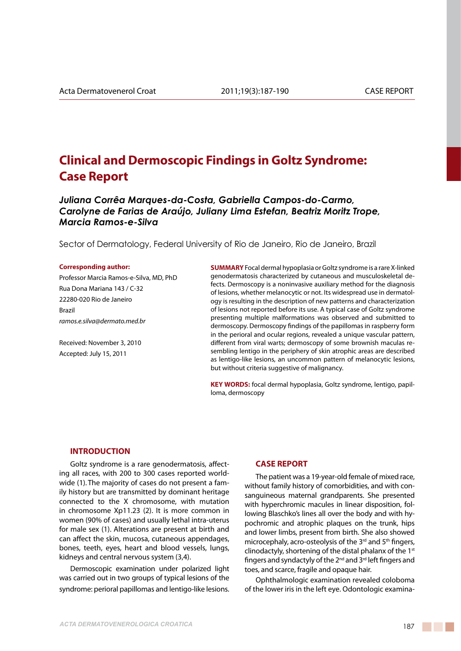# **Clinical and Dermoscopic Findings in Goltz Syndrome: Case Report**

*Juliana Corrêa Marques-da-Costa, Gabriella Campos-do-Carmo, Carolyne de Farias de Araújo, Juliany Lima Estefan, Beatriz Moritz Trope, Marcia Ramos-e-Silva*

Sector of Dermatology, Federal University of Rio de Janeiro, Rio de Janeiro, Brazil

#### **Corresponding author:**

Professor Marcia Ramos-e-Silva, MD, PhD Rua Dona Mariana 143 / C-32 22280-020 Rio de Janeiro Brazil *ramos.e.silva@dermato.med.br*

Received: November 3, 2010 Accepted: July 15, 2011

**SUMMARY** Focal dermal hypoplasia or Goltz syndrome is a rare X-linked genodermatosis characterized by cutaneous and musculoskeletal defects. Dermoscopy is a noninvasive auxiliary method for the diagnosis of lesions, whether melanocytic or not. Its widespread use in dermatology is resulting in the description of new patterns and characterization of lesions not reported before its use. A typical case of Goltz syndrome presenting multiple malformations was observed and submitted to dermoscopy. Dermoscopy findings of the papillomas in raspberry form in the perioral and ocular regions, revealed a unique vascular pattern, different from viral warts; dermoscopy of some brownish maculas resembling lentigo in the periphery of skin atrophic areas are described as lentigo-like lesions, an uncommon pattern of melanocytic lesions, but without criteria suggestive of malignancy.

**KEY WORDS:** focal dermal hypoplasia, Goltz syndrome, lentigo, papilloma, dermoscopy

### **INTRODUCTION**

Goltz syndrome is a rare genodermatosis, affecting all races, with 200 to 300 cases reported worldwide (1). The majority of cases do not present a family history but are transmitted by dominant heritage connected to the X chromosome, with mutation in chromosome Xp11.23 (2). It is more common in women (90% of cases) and usually lethal intra-uterus for male sex (1). Alterations are present at birth and can affect the skin, mucosa, cutaneous appendages, bones, teeth, eyes, heart and blood vessels, lungs, kidneys and central nervous system (3,4).

Dermoscopic examination under polarized light was carried out in two groups of typical lesions of the syndrome: perioral papillomas and lentigo-like lesions.

## **CASE REPORT**

The patient was a 19-year-old female of mixed race, without family history of comorbidities, and with consanguineous maternal grandparents. She presented with hyperchromic macules in linear disposition, following Blaschko's lines all over the body and with hypochromic and atrophic plaques on the trunk, hips and lower limbs, present from birth. She also showed microcephaly, acro-osteolysis of the 3<sup>rd</sup> and 5<sup>th</sup> fingers, clinodactyly, shortening of the distal phalanx of the  $1<sup>st</sup>$ fingers and syndactyly of the 2nd and 3rd left fingers and toes, and scarce, fragile and opaque hair.

Ophthalmologic examination revealed coloboma of the lower iris in the left eye. Odontologic examina-

a sa Tanzania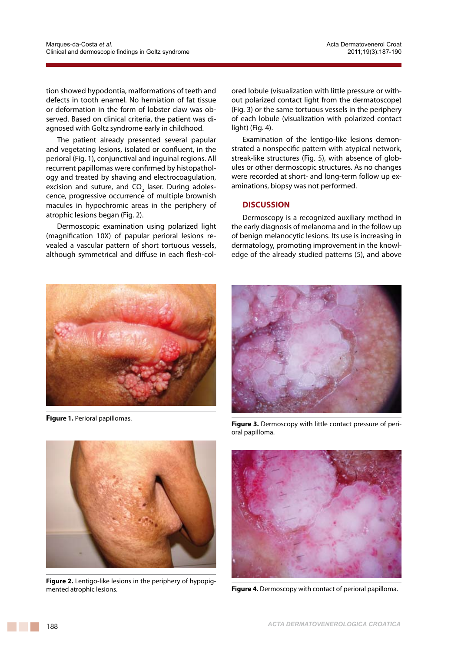tion showed hypodontia, malformations of teeth and defects in tooth enamel. No herniation of fat tissue or deformation in the form of lobster claw was observed. Based on clinical criteria, the patient was diagnosed with Goltz syndrome early in childhood.

The patient already presented several papular and vegetating lesions, isolated or confluent, in the perioral (Fig. 1), conjunctival and inguinal regions. All recurrent papillomas were confirmed by histopathology and treated by shaving and electrocoagulation, excision and suture, and CO<sub>2</sub> laser. During adolescence, progressive occurrence of multiple brownish macules in hypochromic areas in the periphery of atrophic lesions began (Fig. 2).

Dermoscopic examination using polarized light (magnification 10X) of papular perioral lesions revealed a vascular pattern of short tortuous vessels, although symmetrical and diffuse in each flesh-col-

ored lobule (visualization with little pressure or without polarized contact light from the dermatoscope) (Fig. 3) or the same tortuous vessels in the periphery of each lobule (visualization with polarized contact light) (Fig. 4).

Examination of the lentigo-like lesions demonstrated a nonspecific pattern with atypical network, streak-like structures (Fig. 5), with absence of globules or other dermoscopic structures. As no changes were recorded at short- and long-term follow up examinations, biopsy was not performed.

# **DISCUSSION**

Dermoscopy is a recognized auxiliary method in the early diagnosis of melanoma and in the follow up of benign melanocytic lesions. Its use is increasing in dermatology, promoting improvement in the knowledge of the already studied patterns (5), and above



**Figure 1.** Perioral papillomas.



**Figure 3.** Dermoscopy with little contact pressure of perioral papilloma.



**Figure 2.** Lentigo-like lesions in the periphery of hypopigmented atrophic lesions.



**Figure 4.** Dermoscopy with contact of perioral papilloma.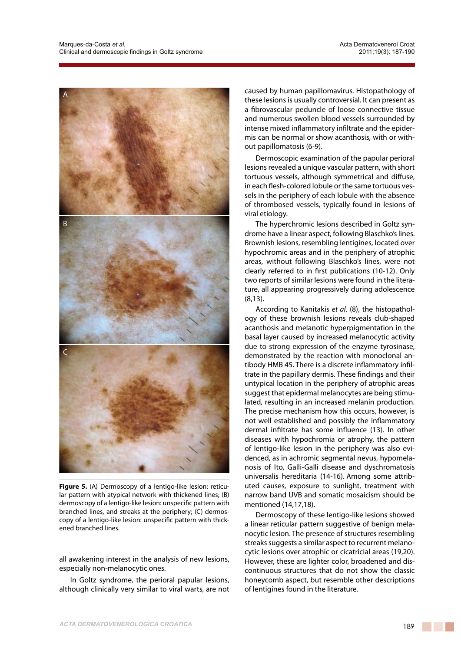

**Figure 5.** (A) Dermoscopy of a lentigo-like lesion: reticular pattern with atypical network with thickened lines; (B) dermoscopy of a lentigo-like lesion: unspecific pattern with branched lines, and streaks at the periphery; (C) dermoscopy of a lentigo-like lesion: unspecific pattern with thickened branched lines.

all awakening interest in the analysis of new lesions, especially non-melanocytic ones.

In Goltz syndrome, the perioral papular lesions, although clinically very similar to viral warts, are not caused by human papillomavirus. Histopathology of these lesions is usually controversial. It can present as a fibrovascular peduncle of loose connective tissue and numerous swollen blood vessels surrounded by intense mixed inflammatory infiltrate and the epidermis can be normal or show acanthosis, with or without papillomatosis (6-9).

Dermoscopic examination of the papular perioral lesions revealed a unique vascular pattern, with short tortuous vessels, although symmetrical and diffuse, in each flesh-colored lobule or the same tortuous vessels in the periphery of each lobule with the absence of thrombosed vessels, typically found in lesions of viral etiology.

The hyperchromic lesions described in Goltz syndrome have a linear aspect, following Blaschko's lines. Brownish lesions, resembling lentigines, located over hypochromic areas and in the periphery of atrophic areas, without following Blaschko's lines, were not clearly referred to in first publications (10-12). Only two reports of similar lesions were found in the literature, all appearing progressively during adolescence (8,13).

According to Kanitakis *et al*. (8), the histopathology of these brownish lesions reveals club-shaped acanthosis and melanotic hyperpigmentation in the basal layer caused by increased melanocytic activity due to strong expression of the enzyme tyrosinase, demonstrated by the reaction with monoclonal antibody HMB 45. There is a discrete inflammatory infiltrate in the papillary dermis. These findings and their untypical location in the periphery of atrophic areas suggest that epidermal melanocytes are being stimulated, resulting in an increased melanin production. The precise mechanism how this occurs, however, is not well established and possibly the inflammatory dermal infiltrate has some influence (13). In other diseases with hypochromia or atrophy, the pattern of lentigo-like lesion in the periphery was also evidenced, as in achromic segmental nevus, hypomelanosis of Ito, Galli-Galli disease and dyschromatosis universalis hereditaria (14-16). Among some attributed causes, exposure to sunlight, treatment with narrow band UVB and somatic mosaicism should be mentioned (14,17,18).

Dermoscopy of these lentigo-like lesions showed a linear reticular pattern suggestive of benign melanocytic lesion. The presence of structures resembling streaks suggests a similar aspect to recurrent melanocytic lesions over atrophic or cicatricial areas (19,20). However, these are lighter color, broadened and discontinuous structures that do not show the classic honeycomb aspect, but resemble other descriptions of lentigines found in the literature.